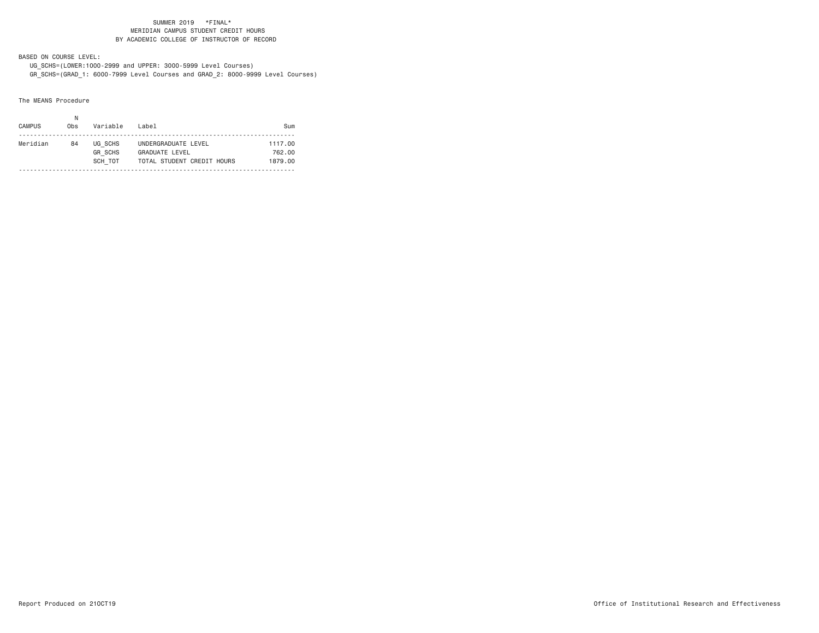#### SUMMER 2019 \*FINAL\* MERIDIAN CAMPUS STUDENT CREDIT HOURSBY ACADEMIC COLLEGE OF INSTRUCTOR OF RECORD

BASED ON COURSE LEVEL:

 UG\_SCHS=(LOWER:1000-2999 and UPPER: 3000-5999 Level Courses) GR\_SCHS=(GRAD\_1: 6000-7999 Level Courses and GRAD\_2: 8000-9999 Level Courses)

The MEANS Procedure

| <b>CAMPUS</b> | Obs | Variable                             | Label                                                               | Sum                          |
|---------------|-----|--------------------------------------|---------------------------------------------------------------------|------------------------------|
| Meridian      | 84  | UG SCHS<br><b>GR SCHS</b><br>SCH TOT | UNDERGRADUATE LEVEL<br>GRADUATE LEVEL<br>TOTAL STUDENT CREDIT HOURS | 1117.00<br>762.00<br>1879.00 |
|               |     |                                      |                                                                     |                              |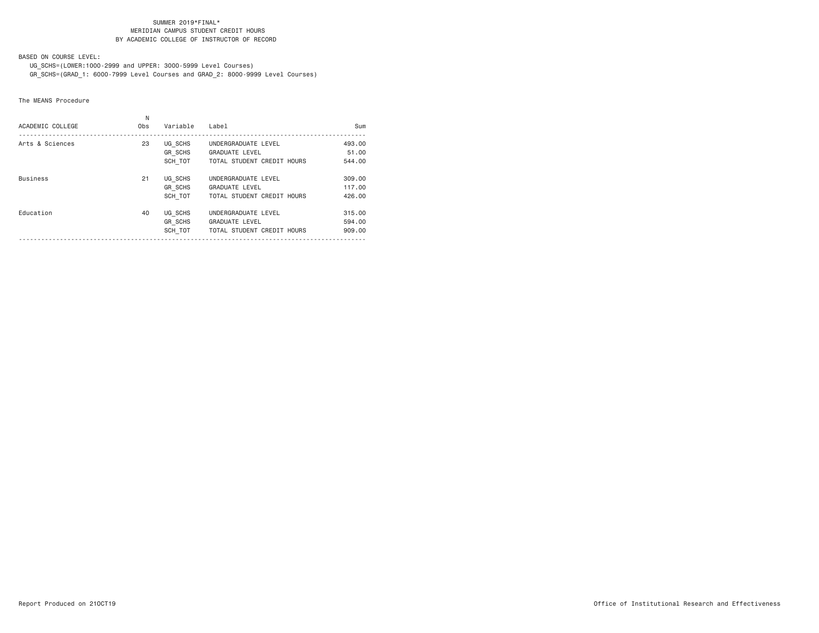#### SUMMER 2019\*FINAL\* MERIDIAN CAMPUS STUDENT CREDIT HOURSBY ACADEMIC COLLEGE OF INSTRUCTOR OF RECORD

BASED ON COURSE LEVEL:

 UG\_SCHS=(LOWER:1000-2999 and UPPER: 3000-5999 Level Courses) GR\_SCHS=(GRAD\_1: 6000-7999 Level Courses and GRAD\_2: 8000-9999 Level Courses)

The MEANS Procedure

| ACADEMIC COLLEGE | Ν<br>Obs | Variable                      | Label                                                                      | Sum                        |
|------------------|----------|-------------------------------|----------------------------------------------------------------------------|----------------------------|
| Arts & Sciences  | 23       | UG SCHS<br>GR_SCHS<br>SCH TOT | UNDERGRADUATE LEVEL<br><b>GRADUATE LEVEL</b><br>TOTAL STUDENT CREDIT HOURS | 493,00<br>51,00<br>544.00  |
| <b>Business</b>  | 21       | UG SCHS<br>GR SCHS<br>SCH TOT | UNDERGRADUATE LEVEL<br><b>GRADUATE LEVEL</b><br>TOTAL STUDENT CREDIT HOURS | 309,00<br>117.00<br>426,00 |
| Education        | 40       | UG SCHS<br>GR SCHS<br>SCH TOT | UNDERGRADUATE LEVEL<br><b>GRADUATE LEVEL</b><br>TOTAL STUDENT CREDIT HOURS | 315,00<br>594.00<br>909,00 |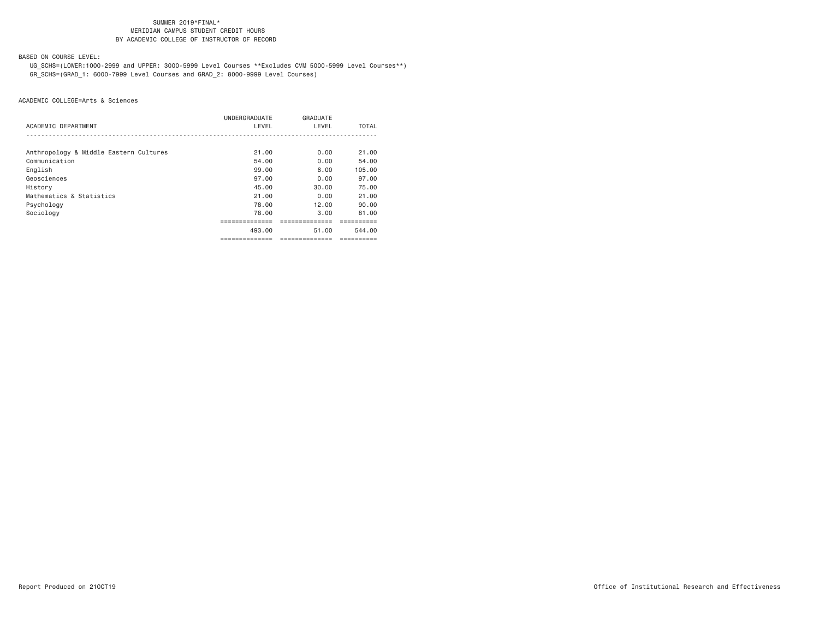### SUMMER 2019\*FINAL\***MERIDIAN CAMPUS STUDENT CREDIT HOURS** BY ACADEMIC COLLEGE OF INSTRUCTOR OF RECORD

BASED ON COURSE LEVEL:

 UG\_SCHS=(LOWER:1000-2999 and UPPER: 3000-5999 Level Courses \*\*Excludes CVM 5000-5999 Level Courses\*\*) GR\_SCHS=(GRAD\_1: 6000-7999 Level Courses and GRAD\_2: 8000-9999 Level Courses)

| ACADEMIC DEPARTMENT                    | UNDERGRADUATE<br>LEVEL | GRADUATE<br>LEVEL | TOTAL      |
|----------------------------------------|------------------------|-------------------|------------|
|                                        |                        |                   |            |
| Anthropology & Middle Eastern Cultures | 21.00                  | 0.00              | 21.00      |
| Communication                          | 54.00                  | 0.00              | 54.00      |
| English                                | 99.00                  | 6.00              | 105.00     |
| Geosciences                            | 97.00                  | 0.00              | 97.00      |
| History                                | 45.00                  | 30.00             | 75.00      |
| Mathematics & Statistics               | 21.00                  | 0.00              | 21.00      |
| Psychology                             | 78.00                  | 12.00             | 90.00      |
| Sociology                              | 78.00                  | 3.00              | 81.00      |
|                                        | --------------         |                   |            |
|                                        | 493.00                 | 51.00             | 544.00     |
|                                        | ===============        | ===============   | ========== |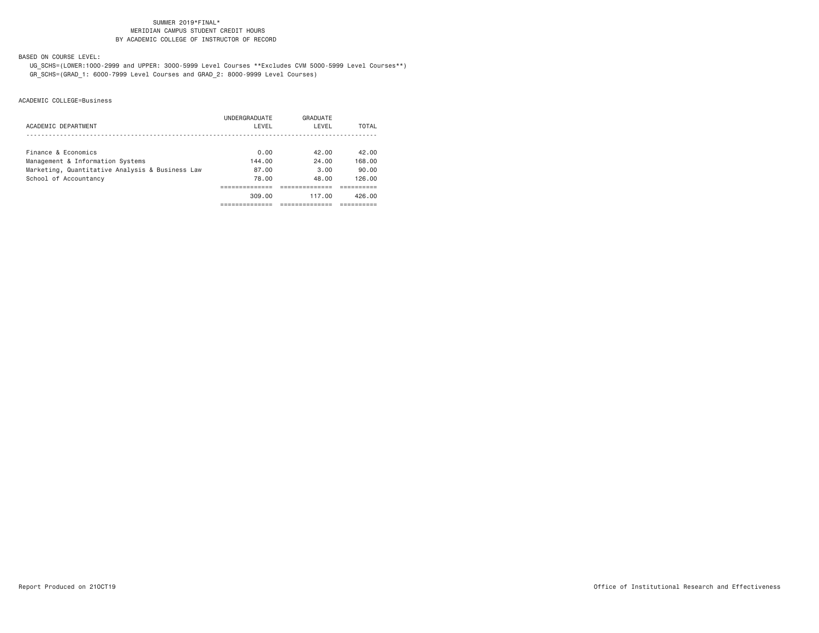### SUMMER 2019\*FINAL\***MERIDIAN CAMPUS STUDENT CREDIT HOURS** BY ACADEMIC COLLEGE OF INSTRUCTOR OF RECORD

BASED ON COURSE LEVEL:

 UG\_SCHS=(LOWER:1000-2999 and UPPER: 3000-5999 Level Courses \*\*Excludes CVM 5000-5999 Level Courses\*\*) GR\_SCHS=(GRAD\_1: 6000-7999 Level Courses and GRAD\_2: 8000-9999 Level Courses)

|                                                 | UNDERGRADUATE | GRADUATE |        |
|-------------------------------------------------|---------------|----------|--------|
| ACADEMIC DEPARTMENT                             | LEVEL         | LEVEL    | TOTAL  |
|                                                 |               |          |        |
| Finance & Economics                             | 0.00          | 42.00    | 42.00  |
| Management & Information Systems                | 144.00        | 24.00    | 168,00 |
| Marketing, Quantitative Analysis & Business Law | 87.00         | 3.00     | 90.00  |
| School of Accountancy                           | 78.00         | 48.00    | 126.00 |
|                                                 |               |          |        |
|                                                 | 309.00        | 117.00   | 426.00 |
|                                                 |               |          |        |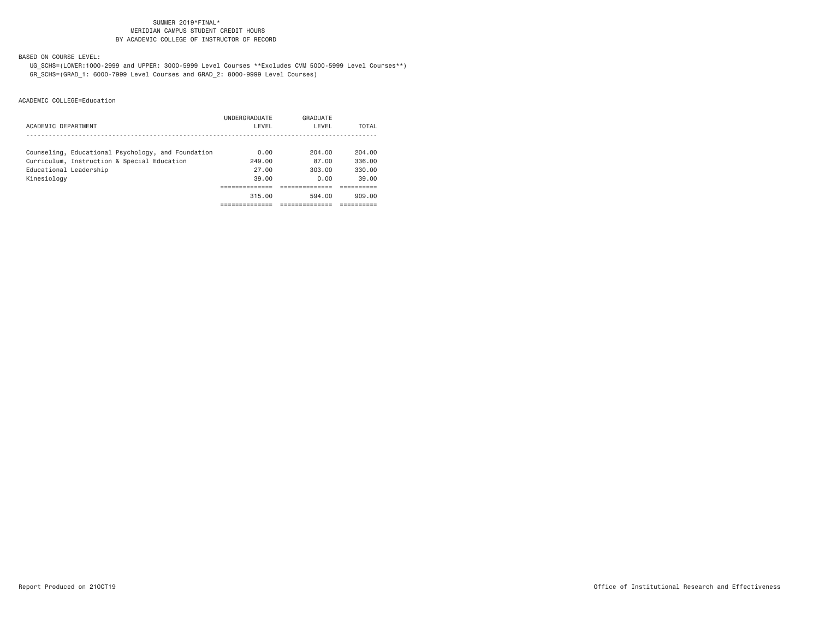### SUMMER 2019\*FINAL\***MERIDIAN CAMPUS STUDENT CREDIT HOURS** BY ACADEMIC COLLEGE OF INSTRUCTOR OF RECORD

BASED ON COURSE LEVEL:

 UG\_SCHS=(LOWER:1000-2999 and UPPER: 3000-5999 Level Courses \*\*Excludes CVM 5000-5999 Level Courses\*\*) GR\_SCHS=(GRAD\_1: 6000-7999 Level Courses and GRAD\_2: 8000-9999 Level Courses)

| ACADEMIC DEPARTMENT                                | UNDERGRADUATE<br>LEVEL | GRADUATE<br>LEVEL | TOTAL  |
|----------------------------------------------------|------------------------|-------------------|--------|
| Counseling, Educational Psychology, and Foundation | 0.00                   | 204.00            | 204.00 |
| Curriculum, Instruction & Special Education        | 249.00                 | 87.00             | 336.00 |
| Educational Leadership                             | 27.00                  | 303.00            | 330.00 |
| Kinesiology                                        | 39.00                  | 0.00              | 39.00  |
|                                                    |                        |                   |        |
|                                                    | 315.00                 | 594.00            | 909.00 |
|                                                    |                        |                   |        |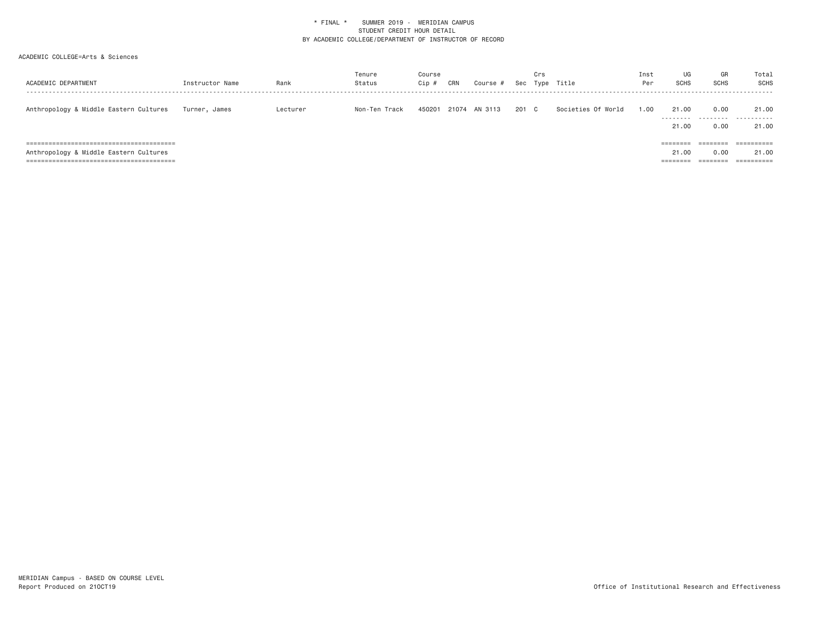| ACADEMIC DEPARTMENT                                                                 | Instructor Name | Rank     | Tenure<br>Status | Course<br>Cip # | CRN   | Course # | Sec | Crs | Type Title         | Inst<br>Per | UG<br><b>SCHS</b>                                  | GR<br><b>SCHS</b>                                                                                       | Total<br>SCHS       |
|-------------------------------------------------------------------------------------|-----------------|----------|------------------|-----------------|-------|----------|-----|-----|--------------------|-------------|----------------------------------------------------|---------------------------------------------------------------------------------------------------------|---------------------|
| Anthropology & Middle Eastern Cultures                                              | Turner, James   | Lecturer | Non-Ten Track    | 450201          | 21074 | AN 3113  | 201 | C . | Societies Of World | 1.00        | 21,00<br>.<br>21.00                                | 0.00<br>.<br>0.00                                                                                       | 21.00<br>.<br>21.00 |
| ============================<br>=========<br>Anthropology & Middle Eastern Cultures |                 |          |                  |                 |       |          |     |     |                    |             | $=$ = = = = = = =<br>21.00<br>________<br>-------- | $\qquad \qquad \equiv \equiv \equiv \equiv \equiv \equiv \equiv \equiv$<br>0.00<br>--------<br>-------- | 21.00               |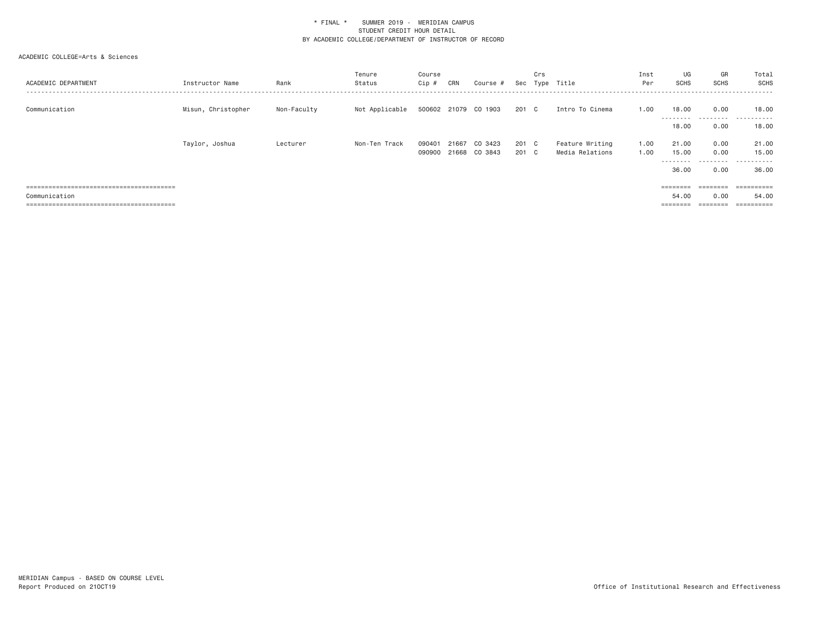| ACADEMIC DEPARTMENT | Instructor Name    | Rank        | Tenure<br>Status | Course<br>Cip #  | CRN   | Course #                 | Sec        | Crs      | Type Title                         | Inst<br>Per  | UG<br><b>SCHS</b>             | GR<br><b>SCHS</b>    | Total<br>SCHS<br>- - - - - - - |
|---------------------|--------------------|-------------|------------------|------------------|-------|--------------------------|------------|----------|------------------------------------|--------------|-------------------------------|----------------------|--------------------------------|
| Communication       | Misun, Christopher | Non-Faculty | Not Applicable   |                  |       | 500602 21079 CO 1903     | 201 C      |          | Intro To Cinema                    | 1.00         | 18,00<br>.<br>18,00           | 0.00<br>.<br>0.00    | 18,00<br>.<br>18.00            |
|                     | Taylor, Joshua     | Lecturer    | Non-Ten Track    | 090401<br>090900 | 21667 | CO 3423<br>21668 CO 3843 | 201<br>201 | C.<br>C. | Feature Writing<br>Media Relations | 1.00<br>1.00 | 21,00<br>15.00<br>.<br>36.00  | 0.00<br>0.00<br>0.00 | 21.00<br>15.00<br>.<br>36.00   |
| Communication       |                    |             |                  |                  |       |                          |            |          |                                    |              | ========<br>54.00<br>======== | 0.00                 | 54.00                          |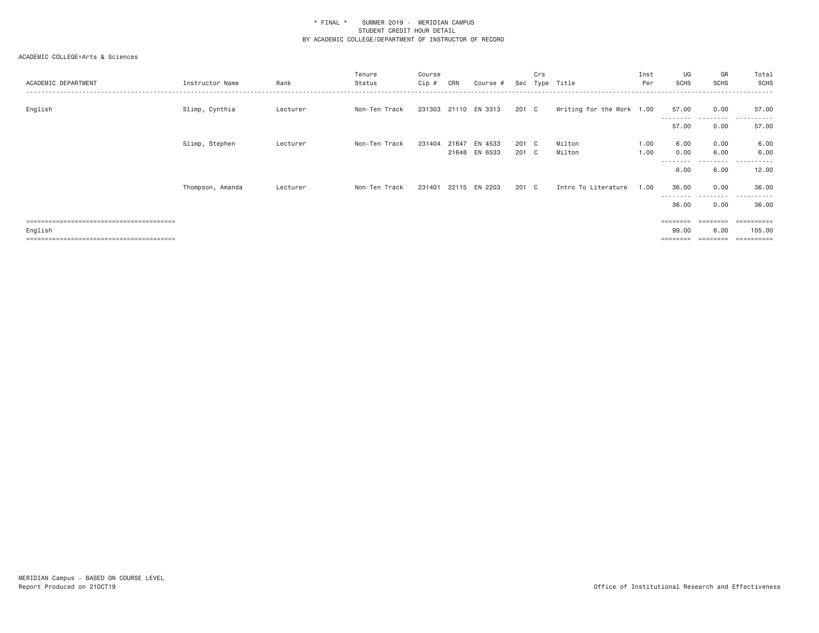| ACADEMIC DEPARTMENT | Instructor Name  | Rank     | Tenure<br>Status | Course<br>Cip # | CRN   | Course #             | Sec   | Crs | Type Title                | Inst<br>Per | UG<br><b>SCHS</b>  | GR<br><b>SCHS</b> | Total<br><b>SCHS</b><br>. <u>.</u> . |
|---------------------|------------------|----------|------------------|-----------------|-------|----------------------|-------|-----|---------------------------|-------------|--------------------|-------------------|--------------------------------------|
| English             | Slimp, Cynthia   | Lecturer | Non-Ten Track    |                 |       | 231303 21110 EN 3313 | 201 C |     | Writing for the Work 1.00 |             | 57.00<br>--------- | 0.00<br>.         | 57.00<br>.                           |
|                     |                  |          |                  |                 |       |                      |       |     |                           |             | 57.00              | 0.00              | 57.00                                |
|                     | Slimp, Stephen   | Lecturer | Non-Ten Track    | 231404          | 21647 | EN 4533              | 201 C |     | Milton                    | 1.00        | 6.00               | 0.00              | 6.00                                 |
|                     |                  |          |                  |                 |       | 21648 EN 6533        | 201 C |     | Milton                    | 1.00        | 0.00               | 6.00              | 6.00                                 |
|                     |                  |          |                  |                 |       |                      |       |     |                           |             | .<br>6.00          | .<br>6.00         | . <b>.</b><br>12.00                  |
|                     | Thompson, Amanda | Lecturer | Non-Ten Track    | 231401          |       | 22115 EN 2203        | 201 C |     | Intro To Literature       | 1.00        | 36.00<br>--------- | 0.00<br>------    | 36.00<br>. <u>.</u> .<br>$\cdots$    |
|                     |                  |          |                  |                 |       |                      |       |     |                           |             | 36.00              | 0.00              | 36.00                                |
|                     |                  |          |                  |                 |       |                      |       |     |                           |             | ========           | ========          |                                      |
| English             |                  |          |                  |                 |       |                      |       |     |                           |             | 99.00              | 6,00              | 105.00                               |
|                     |                  |          |                  |                 |       |                      |       |     |                           |             |                    | ========          | ==========                           |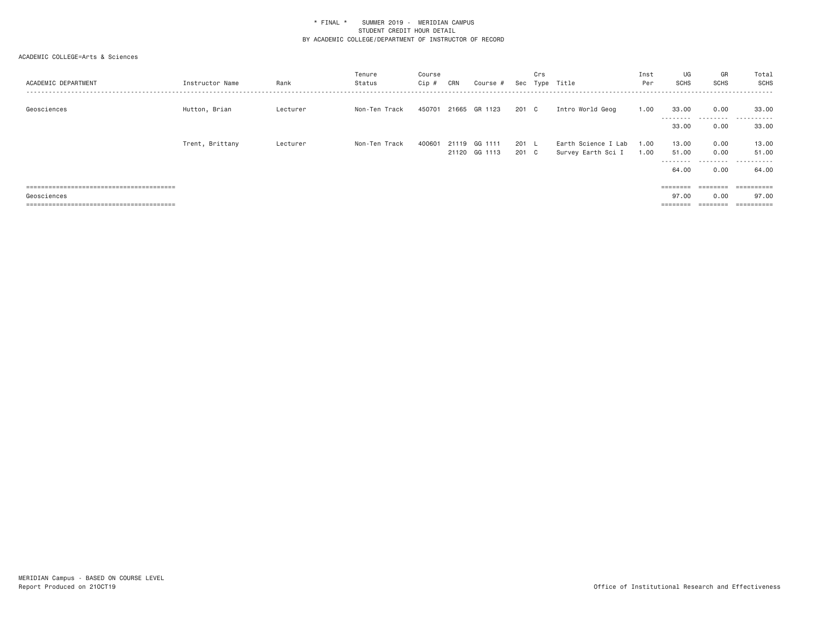| ACADEMIC DEPARTMENT | Instructor Name | Rank     | Tenure<br>Status | Course<br>Cip # | CRN   | Course #                 | Sec          | Crs              | Type Title                                | Inst<br>Per  | UG<br><b>SCHS</b>             | GR<br><b>SCHS</b>                                                                           | Total<br>SCHS                |
|---------------------|-----------------|----------|------------------|-----------------|-------|--------------------------|--------------|------------------|-------------------------------------------|--------------|-------------------------------|---------------------------------------------------------------------------------------------|------------------------------|
| Geosciences         | Hutton, Brian   | Lecturer | Non-Ten Track    | 450701          |       | 21665 GR 1123            | 201 C        |                  | Intro World Geog                          | 1.00         | 33,00<br>---------<br>33.00   | 0.00<br>.<br>0.00                                                                           | 33,00<br>.<br>33,00          |
|                     | Trent, Brittany | Lecturer | Non-Ten Track    | 400601          | 21119 | GG 1111<br>21120 GG 1113 | 201<br>201 C | $\sim$ 1. $\sim$ | Earth Science I Lab<br>Survey Earth Sci I | 1.00<br>1.00 | 13,00<br>51.00<br>.<br>64.00  | 0.00<br>0.00<br>0.00                                                                        | 13.00<br>51.00<br>.<br>64.00 |
| Geosciences         |                 |          |                  |                 |       |                          |              |                  |                                           |              | ========<br>97.00<br>======== | $\qquad \qquad \equiv \equiv \equiv \equiv \equiv \equiv \equiv \equiv$<br>0.00<br>======== | 97.00                        |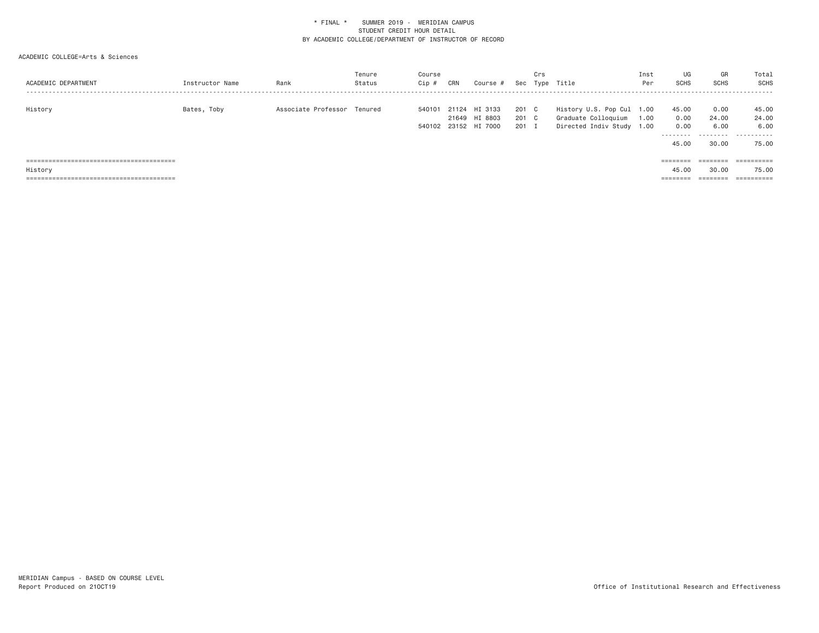| ACADEMIC DEPARTMENT | Instructor Name | Rank                        | Tenure<br>Status | Course<br>Cip #  | CRN | Course #                                        |                         | Crs | Sec Type Title                                                                | Inst<br>Per | UG<br><b>SCHS</b>                  | GR<br>SCHS                                                              | Total<br>SCHS               |
|---------------------|-----------------|-----------------------------|------------------|------------------|-----|-------------------------------------------------|-------------------------|-----|-------------------------------------------------------------------------------|-------------|------------------------------------|-------------------------------------------------------------------------|-----------------------------|
| History             | Bates, Toby     | Associate Professor Tenured |                  | 540101<br>540102 |     | 21124 HI 3133<br>21649 HI 8803<br>23152 HI 7000 | 201 C<br>201 C<br>201 I |     | History U.S. Pop Cul 1.00<br>Graduate Colloquium<br>Directed Indiv Study 1.00 | 1.00        | 45.00<br>0.00<br>0.00<br>--------- | 0.00<br>24,00<br>6.00<br>.                                              | 45.00<br>24.00<br>6.00<br>. |
|                     |                 |                             |                  |                  |     |                                                 |                         |     |                                                                               |             | 45.00                              | 30,00                                                                   | 75.00                       |
|                     |                 |                             |                  |                  |     |                                                 |                         |     |                                                                               |             | ========                           | $\qquad \qquad \equiv \equiv \equiv \equiv \equiv \equiv \equiv \equiv$ |                             |
| History             |                 |                             |                  |                  |     |                                                 |                         |     |                                                                               |             | 45.00                              | 30.00                                                                   | 75.00                       |
|                     |                 |                             |                  |                  |     |                                                 |                         |     |                                                                               |             | ========                           | ========                                                                | ==========                  |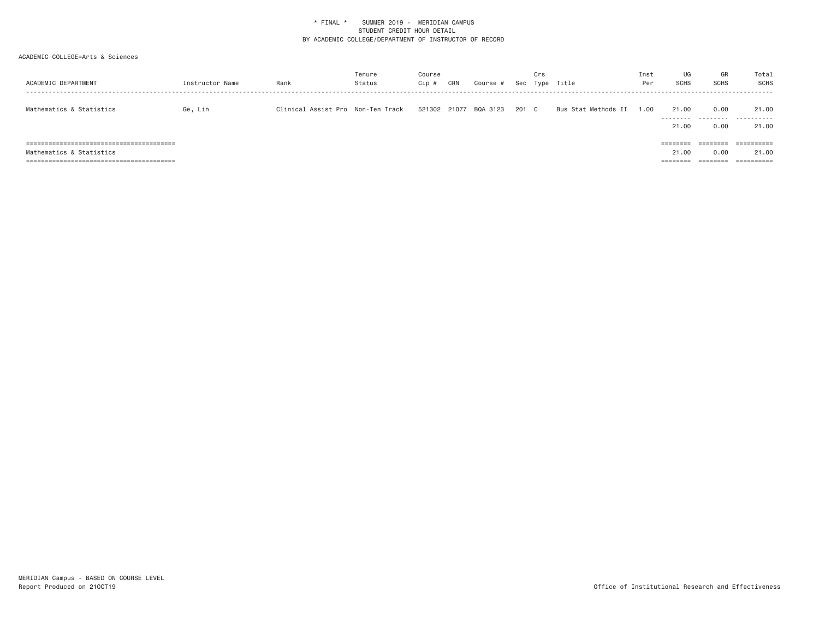| ACADEMIC DEPARTMENT      | Instructor Name | Rank                              | Tenure<br>Status | Course<br>Cip # | CRN   | Course # | Sec   | Crs | Type Title          | Inst<br>Per | UG<br><b>SCHS</b>             | GR<br><b>SCHS</b>                                                               | Total<br>SCHS                  |
|--------------------------|-----------------|-----------------------------------|------------------|-----------------|-------|----------|-------|-----|---------------------|-------------|-------------------------------|---------------------------------------------------------------------------------|--------------------------------|
| Mathematics & Statistics | Ge, Lin         | Clinical Assist Pro Non-Ten Track |                  | 521302          | 21077 | BQA 3123 | 201 C |     | Bus Stat Methods II | .00         | 21.00                         | 0.00                                                                            | 21.00<br>                      |
|                          |                 |                                   |                  |                 |       |          |       |     |                     |             | 21,00<br>========             | 0.00<br>$\qquad \qquad \equiv \equiv \equiv \equiv \equiv \equiv \equiv \equiv$ | 21.00<br>$=$ = = = = = = = = = |
| Mathematics & Statistics |                 |                                   |                  |                 |       |          |       |     |                     |             | 21.00<br>--------<br>-------- | 0.00<br>========                                                                | 21.00<br>==========            |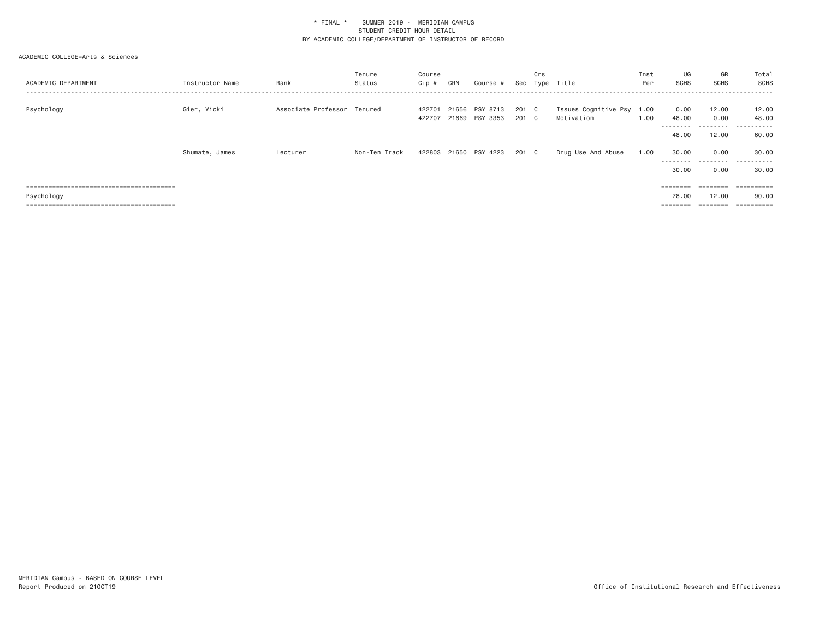| ACADEMIC DEPARTMENT | Instructor Name | Rank                        | Tenure<br>Status | Course<br>Cip #  | CRN   | Course #                   | Sec            | Crs | Type Title                         | Inst<br>Per  | UG<br>SCHS                | GR<br><b>SCHS</b> | Total<br>SCHS         |
|---------------------|-----------------|-----------------------------|------------------|------------------|-------|----------------------------|----------------|-----|------------------------------------|--------------|---------------------------|-------------------|-----------------------|
| Psychology          | Gier, Vicki     | Associate Professor Tenured |                  | 422701<br>422707 | 21656 | PSY 8713<br>21669 PSY 3353 | 201 C<br>201 C |     | Issues Cognitive Psy<br>Motivation | 1.00<br>1.00 | 0.00<br>48.00<br>-------- | 12.00<br>0.00     | 12.00<br>48.00<br>.   |
|                     |                 |                             |                  |                  |       |                            |                |     |                                    |              | 48.00                     | 12.00             | 60.00                 |
|                     | Shumate, James  | Lecturer                    | Non-Ten Track    | 422803           |       | 21650 PSY 4223             | 201 C          |     | Drug Use And Abuse                 | 1.00         | 30.00<br>--------         | 0.00<br>.         | 30.00<br>.            |
|                     |                 |                             |                  |                  |       |                            |                |     |                                    |              | 30.00                     | 0.00              | 30.00                 |
|                     |                 |                             |                  |                  |       |                            |                |     |                                    |              | $= = = = = = = = =$       | ========          | ==========            |
| Psychology          |                 |                             |                  |                  |       |                            |                |     |                                    |              | 78,00                     | 12,00             | 90.00                 |
|                     |                 |                             |                  |                  |       |                            |                |     |                                    |              | $= 22222222$              |                   | $=$ = = = = = = = = = |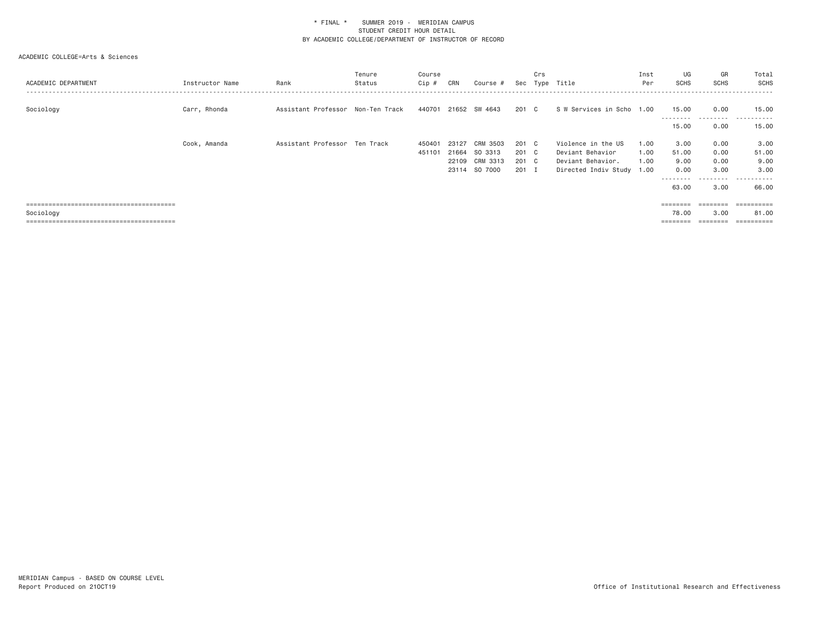| ACADEMIC DEPARTMENT | Instructor Name | Rank                              | Tenure<br>Status | Course<br>Cip # | CRN   | Course #      | Sec   | Crs          | Type Title                | Inst<br>Per | UG<br><b>SCHS</b>  | GR<br><b>SCHS</b> | Total<br>SCHS       |
|---------------------|-----------------|-----------------------------------|------------------|-----------------|-------|---------------|-------|--------------|---------------------------|-------------|--------------------|-------------------|---------------------|
| Sociology           | Carr, Rhonda    | Assistant Professor Non-Ten Track |                  | 440701          |       | 21652 SW 4643 | 201   | $\mathbf{C}$ | S W Services in Scho 1.00 |             | 15.00<br>--------- | 0.00<br>.         | 15.00<br>. <b>.</b> |
|                     |                 |                                   |                  |                 |       |               |       |              |                           |             | 15.00              | 0.00              | 15.00               |
|                     | Cook, Amanda    | Assistant Professor Ten Track     |                  | 450401          | 23127 | CRM 3503      | 201 C |              | Violence in the US        | 1.00        | 3.00               | 0.00              | 3.00                |
|                     |                 |                                   |                  | 451101          | 21664 | SO 3313       | 201 C |              | Deviant Behavior          | 1.00        | 51.00              | 0.00              | 51.00               |
|                     |                 |                                   |                  |                 | 22109 | CRM 3313      | 201 C |              | Deviant Behavior.         | 1.00        | 9.00               | 0.00              | 9.00                |
|                     |                 |                                   |                  |                 | 23114 | SO 7000       | 201   | - 1          | Directed Indiv Study 1.00 |             | 0.00               | 3.00              | 3.00                |
|                     |                 |                                   |                  |                 |       |               |       |              |                           |             | ---------          | ------<br>$  -$   | ------<br>$\cdots$  |
|                     |                 |                                   |                  |                 |       |               |       |              |                           |             | 63.00              | 3.00              | 66.00               |
|                     |                 |                                   |                  |                 |       |               |       |              |                           |             |                    |                   |                     |
|                     |                 |                                   |                  |                 |       |               |       |              |                           |             | ========           | ========          | ==========          |
| Sociology           |                 |                                   |                  |                 |       |               |       |              |                           |             | 78.00              | 3.00              | 81.00               |
|                     |                 |                                   |                  |                 |       |               |       |              |                           |             |                    |                   |                     |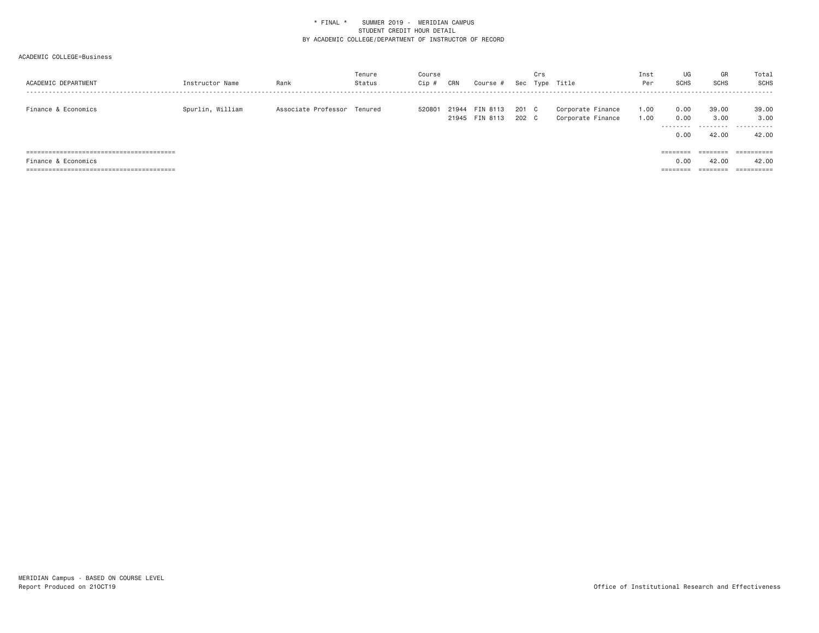| ACADEMIC DEPARTMENT | Instructor Name  | Rank                        | Tenure<br>Status | Course<br>Cip # | CRN | Course #                         | Sec            | Crs | Type Title                             | Inst<br>Per  | UG<br><b>SCHS</b>                | GR<br>SCHS                         | Total<br>SCHS                     |
|---------------------|------------------|-----------------------------|------------------|-----------------|-----|----------------------------------|----------------|-----|----------------------------------------|--------------|----------------------------------|------------------------------------|-----------------------------------|
| Finance & Economics | Spurlin, William | Associate Professor Tenured |                  | 520801          |     | 21944 FIN 8113<br>21945 FIN 8113 | 201 C<br>202 C |     | Corporate Finance<br>Corporate Finance | 1.00<br>1.00 | 0.00<br>0.00<br>--------<br>0.00 | 39,00<br>3,00<br>--------<br>42.00 | 39.00<br>3,00<br>-------<br>42.00 |
|                     |                  |                             |                  |                 |     |                                  |                |     |                                        |              | $=$ $=$ $=$ $=$ $=$              | ========                           |                                   |
| Finance & Economics |                  |                             |                  |                 |     |                                  |                |     |                                        |              | 0.00                             | 42.00                              | 42.00                             |
|                     |                  |                             |                  |                 |     |                                  |                |     |                                        |              | --------<br>--------             | --------<br>--------               | ==========                        |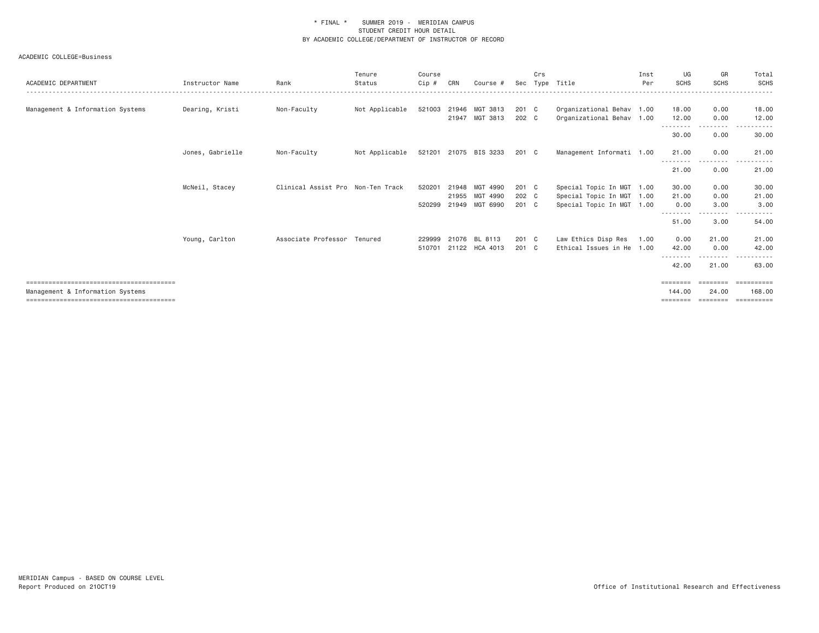| ACADEMIC DEPARTMENT              | Instructor Name  | Rank                              | Tenure<br>Status | Course<br>$Cip$ # | CRN            | Course #                   | Sec            | Crs | Type Title                                             | Inst<br>Per | UG<br><b>SCHS</b>        | GR<br><b>SCHS</b>                                                                | Total<br>SCHS         |
|----------------------------------|------------------|-----------------------------------|------------------|-------------------|----------------|----------------------------|----------------|-----|--------------------------------------------------------|-------------|--------------------------|----------------------------------------------------------------------------------|-----------------------|
| Management & Information Systems | Dearing, Kristi  | Non-Faculty                       | Not Applicable   | 521003            | 21946          | MGT 3813<br>21947 MGT 3813 | 201 C<br>202 C |     | Organizational Behav 1.00<br>Organizational Behav 1.00 |             | 18.00<br>12.00           | 0.00<br>0.00                                                                     | 18.00<br>12.00        |
|                                  |                  |                                   |                  |                   |                |                            |                |     |                                                        |             | .<br>30.00               | --------<br>0.00                                                                 | - - - - - -<br>30.00  |
|                                  | Jones, Gabrielle | Non-Faculty                       | Not Applicable   |                   |                | 521201 21075 BIS 3233      | 201 C          |     | Management Informati 1.00                              |             | 21.00                    | 0.00                                                                             | 21.00                 |
|                                  |                  |                                   |                  |                   |                |                            |                |     |                                                        |             | 21.00                    | 0.00                                                                             | 21.00                 |
|                                  | McNeil, Stacey   | Clinical Assist Pro Non-Ten Track |                  | 520201            | 21948<br>21955 | MGT 4990<br>MGT 4990       | 201 C<br>202 C |     | Special Topic In MGT 1.00                              |             | 30.00<br>21.00           | 0.00<br>0.00                                                                     | 30.00<br>21.00        |
|                                  |                  |                                   |                  | 520299            | 21949          | MGT 6990                   | 201 C          |     | Special Topic In MGT 1.00<br>Special Topic In MGT 1.00 |             | 0.00                     | 3.00<br>$\cdots$                                                                 | 3.00                  |
|                                  |                  |                                   |                  |                   |                |                            |                |     |                                                        |             | - - - - - - - -<br>51.00 | 3.00                                                                             | 54.00                 |
|                                  | Young, Carlton   | Associate Professor Tenured       |                  | 229999<br>510701  | 21076          | BL 8113<br>21122 HCA 4013  | 201 C<br>201 C |     | Law Ethics Disp Res<br>Ethical Issues in He 1.00       | 1.00        | 0.00<br>42.00            | 21.00<br>0.00                                                                    | 21.00<br>42.00        |
|                                  |                  |                                   |                  |                   |                |                            |                |     |                                                        |             | 42.00                    | 21.00                                                                            | 63.00                 |
|                                  |                  |                                   |                  |                   |                |                            |                |     |                                                        |             | $=$ = = = = = = =        |                                                                                  |                       |
| Management & Information Systems |                  |                                   |                  |                   |                |                            |                |     |                                                        |             | 144.00<br>========       | 24,00<br>$\qquad \qquad \equiv \equiv \equiv \equiv \equiv \equiv \equiv \equiv$ | 168,00<br>-========== |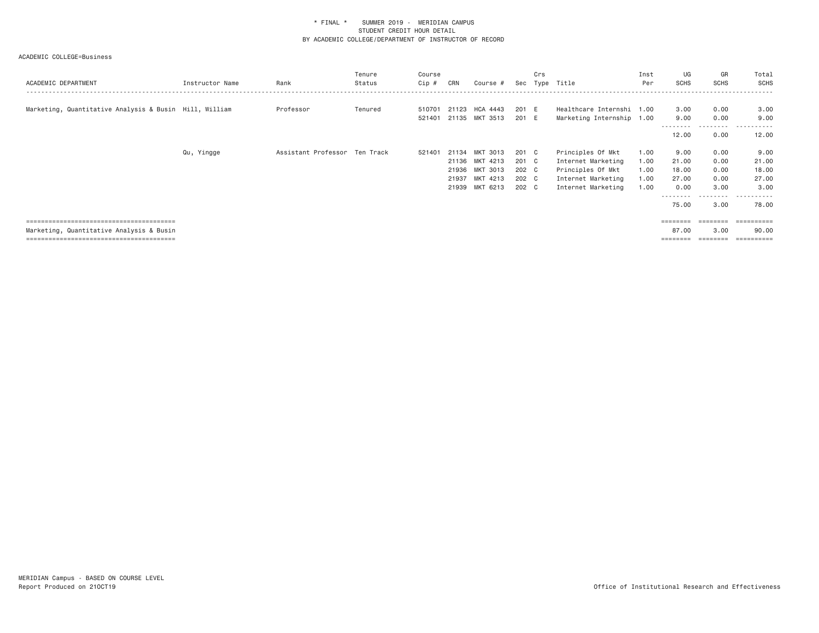| ACADEMIC DEPARTMENT                                    | Instructor Name | Rank                          | Tenure<br>Status | Course<br>Cip #  | CRN   | Course #                         | Sec            | Crs<br>Type | Title                                                  | Inst<br>Per  | UG<br><b>SCHS</b> | GR<br>SCHS        | Total<br>SCHS       |
|--------------------------------------------------------|-----------------|-------------------------------|------------------|------------------|-------|----------------------------------|----------------|-------------|--------------------------------------------------------|--------------|-------------------|-------------------|---------------------|
| Marketing, Quantitative Analysis & Busin Hill, William |                 | Professor                     | Tenured          | 510701<br>521401 |       | 21123 HCA 4443<br>21135 MKT 3513 | 201 E<br>201 E |             | Healthcare Internshi 1.00<br>Marketing Internship 1.00 |              | 3.00<br>9.00      | 0.00<br>0.00      | 3.00<br>9.00        |
|                                                        |                 |                               |                  |                  |       |                                  |                |             |                                                        |              | 12.00             | - - - - -<br>0.00 | 12.00               |
|                                                        | Qu, Yingge      | Assistant Professor Ten Track |                  | 521401           |       | 21134 MKT 3013                   | 201 C          |             | Principles Of Mkt                                      | 1.00         | 9.00              | 0.00              | 9.00                |
|                                                        |                 |                               |                  |                  |       | 21136 MKT 4213<br>21936 MKT 3013 | 201 C<br>202 C |             | Internet Marketing<br>Principles Of Mkt                | 1.00<br>1.00 | 21.00<br>18.00    | 0.00<br>0.00      | 21.00<br>18.00      |
|                                                        |                 |                               |                  |                  | 21937 | MKT 4213                         | 202 C          |             | Internet Marketing                                     | 1.00         | 27.00             | 0.00              | 27.00               |
|                                                        |                 |                               |                  |                  | 21939 | MKT 6213                         | 202 C          |             | Internet Marketing                                     | 1.00         | 0.00              | 3.00<br>-----     | 3.00<br>.           |
|                                                        |                 |                               |                  |                  |       |                                  |                |             |                                                        |              | 75.00             | 3.00              | 78.00               |
|                                                        |                 |                               |                  |                  |       |                                  |                |             |                                                        |              |                   | <b>EDDEDEDER</b>  | - ==========        |
| Marketing, Quantitative Analysis & Busin               |                 |                               |                  |                  |       |                                  |                |             |                                                        |              | 87.00             | 3.00<br>========  | 90.00<br>========== |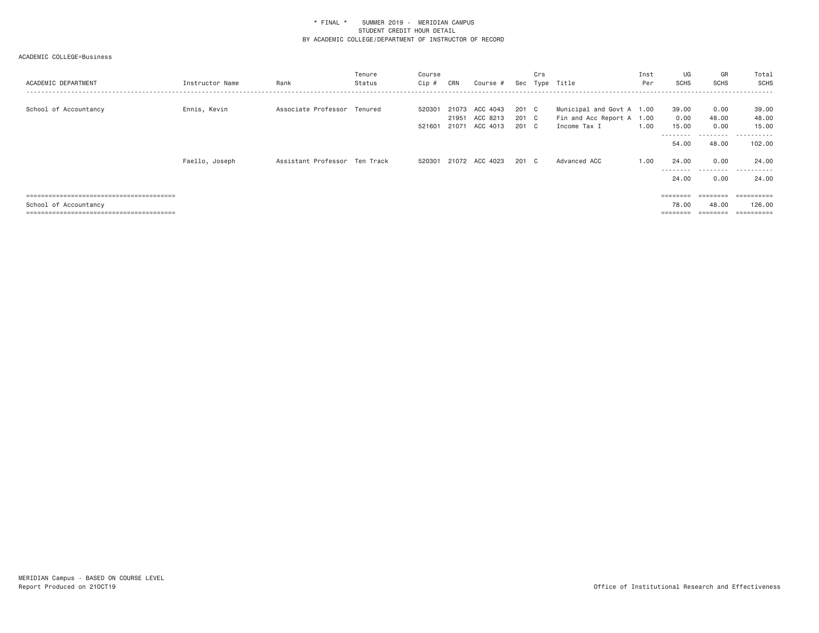| ACADEMIC DEPARTMENT   | Instructor Name | Rank                          | Tenure<br>Status | Course<br>Cip #  | CRN | Course #                                           |                         | Crs | Sec Type Title                                                         | Inst<br>Per | UG<br><b>SCHS</b>                   | GR<br>SCHS                 | Total<br><b>SCHS</b>                  |
|-----------------------|-----------------|-------------------------------|------------------|------------------|-----|----------------------------------------------------|-------------------------|-----|------------------------------------------------------------------------|-------------|-------------------------------------|----------------------------|---------------------------------------|
| School of Accountancy | Ennis, Kevin    | Associate Professor Tenured   |                  | 520301<br>521601 |     | 21073 ACC 4043<br>21951 ACC 8213<br>21071 ACC 4013 | 201 C<br>201 C<br>201 C |     | Municipal and Govt A 1.00<br>Fin and Acc Report A 1.00<br>Income Tax I | 1.00        | 39.00<br>0.00<br>15.00<br>--------- | 0.00<br>48.00<br>0.00<br>. | 39.00<br>48.00<br>15.00<br>.          |
|                       |                 |                               |                  |                  |     |                                                    |                         |     |                                                                        |             | 54.00                               | 48.00                      | 102.00                                |
|                       | Faello, Joseph  | Assistant Professor Ten Track |                  | 520301           |     | 21072 ACC 4023                                     | 201 C                   |     | Advanced ACC                                                           | 1.00        | 24.00<br>---------<br>24,00         | 0.00<br>---------<br>0.00  | 24.00<br>- - - - - -<br>$ -$<br>24,00 |
|                       |                 |                               |                  |                  |     |                                                    |                         |     |                                                                        |             |                                     | $=$ = = = = = = =          |                                       |
| School of Accountancy |                 |                               |                  |                  |     |                                                    |                         |     |                                                                        |             | 78.00<br>$=$ = = = = = = =          | 48.00<br>========          | 126,00<br>==========                  |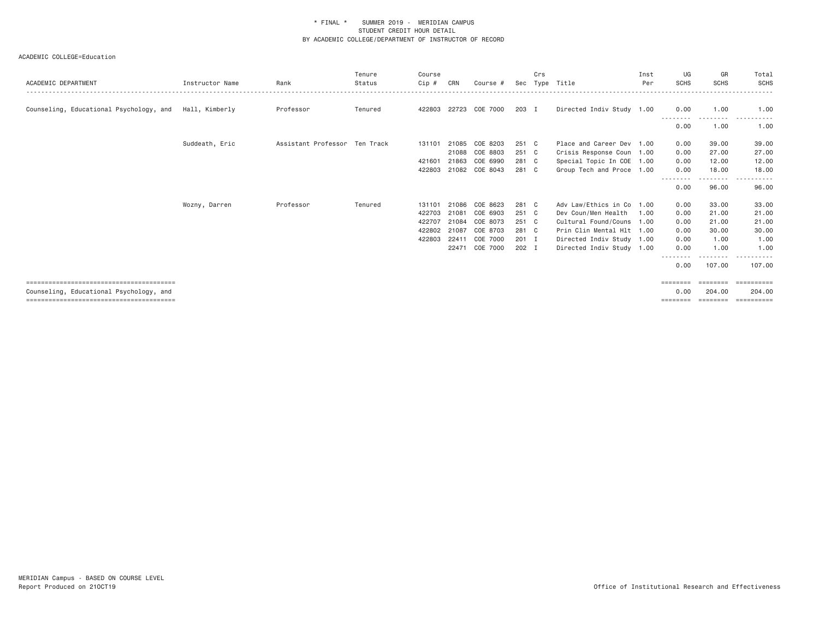| ACADEMIC DEPARTMENT                     | Instructor Name | Rank                          | Tenure<br>Status | Course<br>$Cip$ # | CRN            | Course #             | Sec            | Crs | Type Title                                             | Inst<br>Per | UG<br><b>SCHS</b> | GR<br><b>SCHS</b> | Total<br>SCHS                    |
|-----------------------------------------|-----------------|-------------------------------|------------------|-------------------|----------------|----------------------|----------------|-----|--------------------------------------------------------|-------------|-------------------|-------------------|----------------------------------|
| Counseling, Educational Psychology, and | Hall, Kimberly  | Professor                     | Tenured          | 422803            | 22723          | COE 7000             | 203 I          |     | Directed Indiv Study 1.00                              |             | 0.00              | 1.00              | 1.00                             |
|                                         |                 |                               |                  |                   |                |                      |                |     |                                                        |             | <u>.</u><br>0.00  | -----<br>1.00     | $\cdots$<br>. <u>.</u> .<br>1.00 |
|                                         | Suddeath, Eric  | Assistant Professor Ten Track |                  | 131101            | 21085          | COE 8203             | 251 C          |     | Place and Career Dev 1.00                              |             | 0.00              | 39,00             | 39.00                            |
|                                         |                 |                               |                  | 421601            | 21088<br>21863 | COE 8803<br>COE 6990 | 251 C<br>281 C |     | Crisis Response Coun 1.00<br>Special Topic In COE 1.00 |             | 0.00<br>0.00      | 27.00<br>12.00    | 27.00<br>12.00                   |
|                                         |                 |                               |                  | 422803            |                | 21082 COE 8043       | 281 C          |     | Group Tech and Proce 1.00                              |             | 0.00              | 18,00             | 18.00                            |
|                                         |                 |                               |                  |                   |                |                      |                |     |                                                        |             | --------<br>0.00  | .<br>96.00        | 96.00                            |
|                                         | Wozny, Darren   | Professor                     | Tenured          | 131101            | 21086          | COE 8623             | 281            | C . | Adv Law/Ethics in Co 1.00                              |             | 0.00              | 33.00             | 33.00                            |
|                                         |                 |                               |                  | 422703            | 21081          | COE 6903             | 251 C          |     | Dev Coun/Men Health                                    | 1.00        | 0.00              | 21,00             | 21.00                            |
|                                         |                 |                               |                  | 422707            | 21084          | COE 8073             | 251 C          |     | Cultural Found/Couns 1.00                              |             | 0.00              | 21,00             | 21.00                            |
|                                         |                 |                               |                  | 422802            | 21087          | COE 8703             | 281 C          |     | Prin Clin Mental Hlt 1.00                              |             | 0.00              | 30,00             | 30.00                            |
|                                         |                 |                               |                  | 422803            | 22411          | COE 7000             | 201            | I.  | Directed Indiv Study 1.00                              |             | 0.00              | 1.00              | 1.00                             |
|                                         |                 |                               |                  |                   | 22471          | COE 7000             | 202 I          |     | Directed Indiv Study 1.00                              |             | 0.00              | 1.00              | 1.00                             |
|                                         |                 |                               |                  |                   |                |                      |                |     |                                                        |             | --------<br>0.00  | .<br>107.00       | 107,00                           |
|                                         |                 |                               |                  |                   |                |                      |                |     |                                                        |             | ========          | <b>EBBERSE</b>    |                                  |
| Counseling, Educational Psychology, and |                 |                               |                  |                   |                |                      |                |     |                                                        |             | 0.00              | 204.00            | 204,00                           |
|                                         |                 |                               |                  |                   |                |                      |                |     |                                                        |             | ========          | ========          | -----------                      |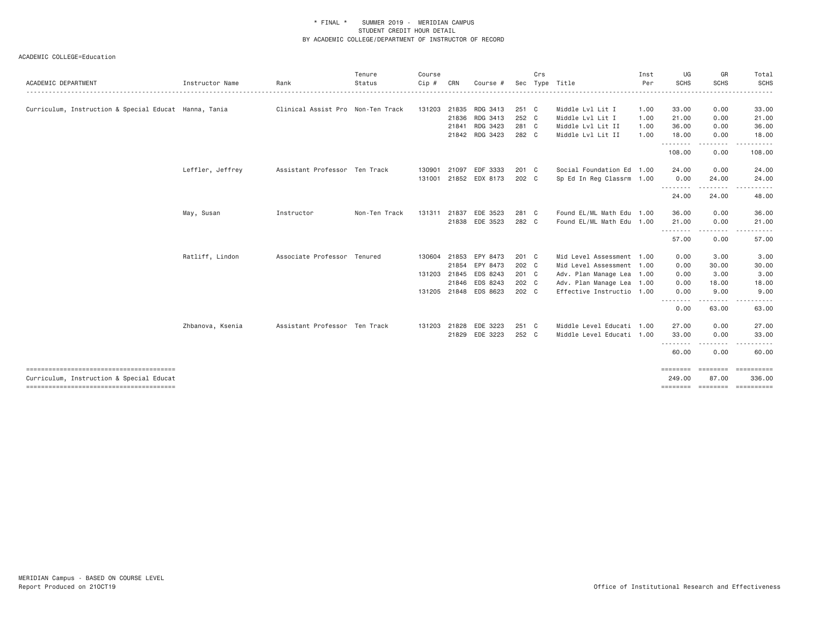| ACADEMIC DEPARTMENT                                   | Instructor Name  | Rank                              | Tenure<br>Status | Course<br>$Cip$ # | CRN   | Course #              |                | Crs<br>Sec Type | Title                     | Inst<br>Per | UG<br><b>SCHS</b>  | GR<br><b>SCHS</b> | Total<br><b>SCHS</b>          |
|-------------------------------------------------------|------------------|-----------------------------------|------------------|-------------------|-------|-----------------------|----------------|-----------------|---------------------------|-------------|--------------------|-------------------|-------------------------------|
| Curriculum, Instruction & Special Educat Hanna, Tania |                  | Clinical Assist Pro Non-Ten Track |                  | 131203            | 21835 | RDG 3413              | 251 C          |                 | Middle Lvl Lit I          | 1.00        | 33.00              | 0.00              | 33.00                         |
|                                                       |                  |                                   |                  |                   | 21836 | RDG 3413              | 252 C          |                 | Middle Lvl Lit I          | 1.00        | 21.00              | 0.00              | 21.00                         |
|                                                       |                  |                                   |                  |                   | 21841 | RDG 3423              | 281 C          |                 | Middle Lvl Lit II         | 1.00        | 36.00              | 0.00              | 36.00                         |
|                                                       |                  |                                   |                  |                   |       | 21842 RDG 3423        | 282 C          |                 | Middle Lvl Lit II         | 1.00        | 18.00              | 0.00              | 18.00                         |
|                                                       |                  |                                   |                  |                   |       |                       |                |                 |                           |             | .<br>108.00        | 0.00              | 108.00                        |
|                                                       | Leffler, Jeffrey | Assistant Professor Ten Track     |                  | 130901            | 21097 | EDF 3333              | 201 C          |                 | Social Foundation Ed 1.00 |             | 24.00              | 0.00              | 24.00                         |
|                                                       |                  |                                   |                  |                   |       | 131001 21852 EDX 8173 | 202 C          |                 | Sp Ed In Reg Classrm 1.00 |             | 0.00<br>.          | 24.00             | 24.00                         |
|                                                       |                  |                                   |                  |                   |       |                       |                |                 |                           |             | 24.00              | 24.00             | 48.00                         |
|                                                       | May, Susan       | Instructor                        | Non-Ten Track    | 131311            | 21837 | EDE 3523              | 281 C          |                 | Found EL/ML Math Edu 1.00 |             | 36.00              | 0.00              | 36.00                         |
|                                                       |                  |                                   |                  |                   |       | 21838 EDE 3523        | 282 C          |                 | Found EL/ML Math Edu 1.00 |             | 21.00              | 0.00              | 21.00                         |
|                                                       |                  |                                   |                  |                   |       |                       |                |                 |                           |             | .<br>57.00         | 0.00              | 57.00                         |
|                                                       | Ratliff, Lindon  | Associate Professor Tenured       |                  | 130604            | 21853 | EPY 8473              | 201 C          |                 | Mid Level Assessment 1.00 |             | 0.00               | 3.00              | 3.00                          |
|                                                       |                  |                                   |                  |                   | 21854 | EPY 8473              | 202 C          |                 | Mid Level Assessment 1.00 |             | 0.00               | 30.00             | 30.00                         |
|                                                       |                  |                                   |                  | 131203 21845      |       | EDS 8243              | 201 C          |                 | Adv. Plan Manage Lea 1.00 |             | 0.00               | 3.00              | 3.00                          |
|                                                       |                  |                                   |                  |                   |       | 21846 EDS 8243        | 202 C<br>202 C |                 | Adv. Plan Manage Lea 1.00 |             | 0.00               | 18.00<br>9,00     | 18.00                         |
|                                                       |                  |                                   |                  |                   |       | 131205 21848 EDS 8623 |                |                 | Effective Instructio 1.00 |             | 0.00<br><u>.</u>   |                   | 9.00                          |
|                                                       |                  |                                   |                  |                   |       |                       |                |                 |                           |             | 0.00               | 63.00             | 63.00                         |
|                                                       | Zhbanova, Ksenia | Assistant Professor Ten Track     |                  | 131203            | 21828 | EDE 3223              | 251 C          |                 | Middle Level Educati 1.00 |             | 27.00              | 0.00              | 27.00                         |
|                                                       |                  |                                   |                  |                   |       | 21829 EDE 3223        | 252 C          |                 | Middle Level Educati 1.00 |             | 33.00              | 0.00<br>.         | 33.00                         |
|                                                       |                  |                                   |                  |                   |       |                       |                |                 |                           |             | 60.00              | 0.00              | 60.00                         |
| Curriculum, Instruction & Special Educat              |                  |                                   |                  |                   |       |                       |                |                 |                           |             | ========<br>249,00 | 87.00             | ===================<br>336,00 |
| --------------------------------------                |                  |                                   |                  |                   |       |                       |                |                 |                           |             |                    |                   | ======== ======== =========   |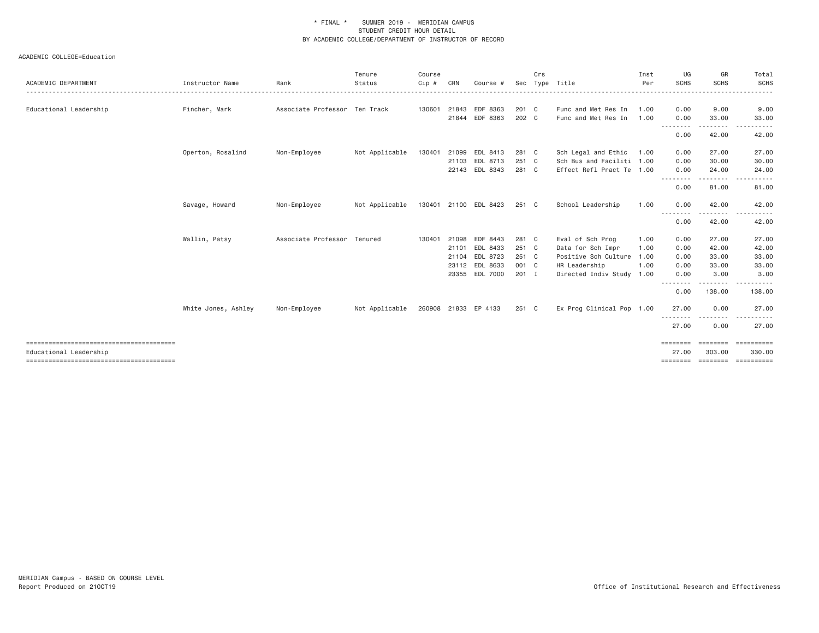|                        |                     |                               | Tenure         | Course  |       |                       |       | Crs |                           | Inst     | UG                              | GR          | Total             |
|------------------------|---------------------|-------------------------------|----------------|---------|-------|-----------------------|-------|-----|---------------------------|----------|---------------------------------|-------------|-------------------|
| ACADEMIC DEPARTMENT    | Instructor Name     | Rank                          | Status         | $Cip$ # | CRN   | Course #              |       |     | Sec Type Title            | Per<br>. | <b>SCHS</b>                     | <b>SCHS</b> | SCHS<br>.         |
| Educational Leadership | Fincher, Mark       | Associate Professor Ten Track |                | 130601  |       | 21843 EDF 8363        | 201 C |     | Func and Met Res In       | 1.00     | 0.00                            | 9.00        | 9.00              |
|                        |                     |                               |                |         | 21844 | EDF 8363              | 202 C |     | Func and Met Res In       | 1.00     | 0.00                            | 33,00       | 33.00             |
|                        |                     |                               |                |         |       |                       |       |     |                           |          | --------                        | ---------   | $- - -$<br>------ |
|                        |                     |                               |                |         |       |                       |       |     |                           |          | 0.00                            | 42.00       | 42.00             |
|                        | Operton, Rosalind   | Non-Employee                  | Not Applicable | 130401  |       | 21099 EDL 8413        | 281 C |     | Sch Legal and Ethic       | 1.00     | 0.00                            | 27.00       | 27.00             |
|                        |                     |                               |                |         |       | 21103 EDL 8713        | 251 C |     | Sch Bus and Faciliti 1.00 |          | 0.00                            | 30.00       | 30.00             |
|                        |                     |                               |                |         |       | 22143 EDL 8343        | 281 C |     | Effect Refl Pract Te 1.00 |          | 0.00                            | 24.00       | 24.00             |
|                        |                     |                               |                |         |       |                       |       |     |                           |          | .<br>0.00                       | .<br>81.00  | 81.00             |
|                        | Savage, Howard      | Non-Employee                  | Not Applicable |         |       | 130401 21100 EDL 8423 | 251 C |     | School Leadership         | 1.00     | 0.00                            | 42.00       | 42.00             |
|                        |                     |                               |                |         |       |                       |       |     |                           |          | <u> - - - - - - - -</u><br>0.00 | 42.00       | 42.00             |
|                        | Wallin, Patsy       | Associate Professor Tenured   |                | 130401  | 21098 | EDF 8443              | 281 C |     | Eval of Sch Prog          | 1.00     | 0.00                            | 27.00       | 27.00             |
|                        |                     |                               |                |         | 21101 | EDL 8433              | 251 C |     | Data for Sch Impr         | 1.00     | 0.00                            | 42.00       | 42.00             |
|                        |                     |                               |                |         |       | 21104 EDL 8723        | 251 C |     | Positive Sch Culture 1.00 |          | 0.00                            | 33.00       | 33.00             |
|                        |                     |                               |                |         |       | 23112 EDL 8633        | 001 C |     | HR Leadership             | 1.00     | 0.00                            | 33.00       | 33.00             |
|                        |                     |                               |                |         |       | 23355 EDL 7000        | 201 I |     | Directed Indiv Study 1.00 |          | 0.00                            | 3.00        | 3.00              |
|                        |                     |                               |                |         |       |                       |       |     |                           |          | <u>.</u><br>0.00                | .<br>138.00 | 138.00            |
|                        | White Jones, Ashley | Non-Employee                  | Not Applicable |         |       | 260908 21833 EP 4133  | 251 C |     | Ex Prog Clinical Pop 1.00 |          | 27.00                           | 0.00        | 27.00             |
|                        |                     |                               |                |         |       |                       |       |     |                           |          | .<br>27.00                      | 0.00        | 27.00             |
|                        |                     |                               |                |         |       |                       |       |     |                           |          | ========                        | ========    | ==========        |
| Educational Leadership |                     |                               |                |         |       |                       |       |     |                           |          | 27.00                           | 303.00      | 330.00            |
|                        |                     |                               |                |         |       |                       |       |     |                           |          | ========                        | ========    | ==========        |